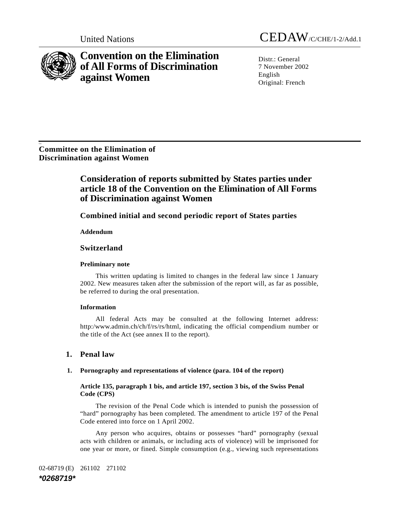

**Convention on the Elimination of All Forms of Discrimination against Women** 

United Nations CEDAW/C/CHE/1-2/Add.1

Distr · General 7 November 2002 English Original: French

Ge. **Committee on the Elimination of Discrimination against Women** 

# **Consideration of reports submitted by States parties under article 18 of the Convention on the Elimination of All Forms of Discrimination against Women**

# **Combined initial and second periodic report of States parties**

 **Addendum** 

# **Switzerland**

### **Preliminary note**

 This written updating is limited to changes in the federal law since 1 January 2002. New measures taken after the submission of the report will, as far as possible, be referred to during the oral presentation.

### **Information**

 All federal Acts may be consulted at the following Internet address: http:/www.admin.ch/ch/f/rs/rs/html, indicating the official compendium number or the title of the Act (see annex II to the report).

# **1. Penal law**

### **1. Pornography and representations of violence (para. 104 of the report)**

### **Article 135, paragraph 1 bis, and article 197, section 3 bis, of the Swiss Penal Code (CPS)**

 The revision of the Penal Code which is intended to punish the possession of "hard" pornography has been completed. The amendment to article 197 of the Penal Code entered into force on 1 April 2002.

 Any person who acquires, obtains or possesses "hard" pornography (sexual acts with children or animals, or including acts of violence) will be imprisoned for one year or more, or fined. Simple consumption (e.g., viewing such representations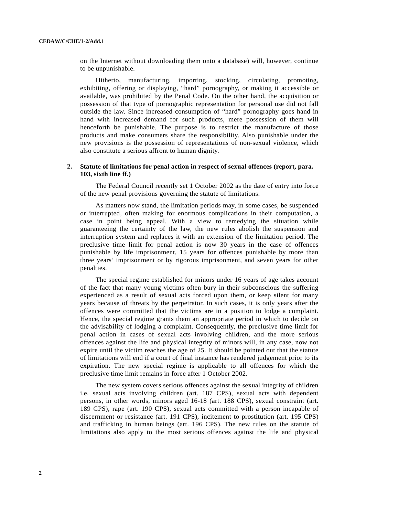on the Internet without downloading them onto a database) will, however, continue to be unpunishable.

Hitherto, manufacturing, importing, stocking, circulating, promoting, exhibiting, offering or displaying, "hard" pornography, or making it accessible or available, was prohibited by the Penal Code. On the other hand, the acquisition or possession of that type of pornographic representation for personal use did not fall outside the law. Since increased consumption of "hard" pornography goes hand in hand with increased demand for such products, mere possession of them will henceforth be punishable. The purpose is to restrict the manufacture of those products and make consumers share the responsibility. Also punishable under the new provisions is the possession of representations of non-sexual violence, which also constitute a serious affront to human dignity.

#### **2. Statute of limitations for penal action in respect of sexual offences (report, para. 103, sixth line ff.)**

The Federal Council recently set 1 October 2002 as the date of entry into force of the new penal provisions governing the statute of limitations.

As matters now stand, the limitation periods may, in some cases, be suspended or interrupted, often making for enormous complications in their computation, a case in point being appeal. With a view to remedying the situation while guaranteeing the certainty of the law, the new rules abolish the suspension and interruption system and replaces it with an extension of the limitation period. The preclusive time limit for penal action is now 30 years in the case of offences punishable by life imprisonment, 15 years for offences punishable by more than three years' imprisonment or by rigorous imprisonment, and seven years for other penalties.

The special regime established for minors under 16 years of age takes account of the fact that many young victims often bury in their subconscious the suffering experienced as a result of sexual acts forced upon them, or keep silent for many years because of threats by the perpetrator. In such cases, it is only years after the offences were committed that the victims are in a position to lodge a complaint. Hence, the special regime grants them an appropriate period in which to decide on the advisability of lodging a complaint. Consequently, the preclusive time limit for penal action in cases of sexual acts involving children, and the more serious offences against the life and physical integrity of minors will, in any case, now not expire until the victim reaches the age of 25. It should be pointed out that the statute of limitations will end if a court of final instance has rendered judgement prior to its expiration. The new special regime is applicable to all offences for which the preclusive time limit remains in force after 1 October 2002.

The new system covers serious offences against the sexual integrity of children i.e. sexual acts involving children (art. 187 CPS), sexual acts with dependent persons, in other words, minors aged 16-18 (art. 188 CPS), sexual constraint (art. 189 CPS), rape (art. 190 CPS), sexual acts committed with a person incapable of discernment or resistance (art. 191 CPS), incitement to prostitution (art. 195 CPS) and trafficking in human beings (art. 196 CPS). The new rules on the statute of limitations also apply to the most serious offences against the life and physical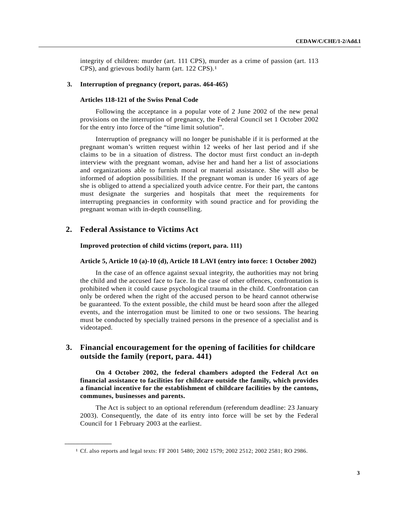integrity of children: murder (art. 111 CPS), murder as a crime of passion (art. 113 CPS), and grievous bodily harm (art. 122 CPS).[1](#page-2-0)

#### **3. Interruption of pregnancy (report, paras. 464-465)**

#### **Articles 118-121 of the Swiss Penal Code**

Following the acceptance in a popular vote of 2 June 2002 of the new penal provisions on the interruption of pregnancy, the Federal Council set 1 October 2002 for the entry into force of the "time limit solution".

Interruption of pregnancy will no longer be punishable if it is performed at the pregnant woman's written request within 12 weeks of her last period and if she claims to be in a situation of distress. The doctor must first conduct an in-depth interview with the pregnant woman, advise her and hand her a list of associations and organizations able to furnish moral or material assistance. She will also be informed of adoption possibilities. If the pregnant woman is under 16 years of age she is obliged to attend a specialized youth advice centre. For their part, the cantons must designate the surgeries and hospitals that meet the requirements for interrupting pregnancies in conformity with sound practice and for providing the pregnant woman with in-depth counselling.

### **2. Federal Assistance to Victims Act**

**\_\_\_\_\_\_\_\_\_\_\_\_\_\_\_\_\_\_** 

#### **Improved protection of child victims (report, para. 111)**

#### **Article 5, Article 10 (a)-10 (d), Article 18 LAVI (entry into force: 1 October 2002)**

In the case of an offence against sexual integrity, the authorities may not bring the child and the accused face to face. In the case of other offences, confrontation is prohibited when it could cause psychological trauma in the child. Confrontation can only be ordered when the right of the accused person to be heard cannot otherwise be guaranteed. To the extent possible, the child must be heard soon after the alleged events, and the interrogation must be limited to one or two sessions. The hearing must be conducted by specially trained persons in the presence of a specialist and is videotaped.

# **3. Financial encouragement for the opening of facilities for childcare outside the family (report, para. 441)**

**On 4 October 2002, the federal chambers adopted the Federal Act on financial assistance to facilities for childcare outside the family, which provides a financial incentive for the establishment of childcare facilities by the cantons, communes, businesses and parents.**

The Act is subject to an optional referendum (referendum deadline: 23 January 2003). Consequently, the date of its entry into force will be set by the Federal Council for 1 February 2003 at the earliest.

<span id="page-2-0"></span><sup>1</sup> Cf. also reports and legal texts: FF 2001 5480; 2002 1579; 2002 2512; 2002 2581; RO 2986.